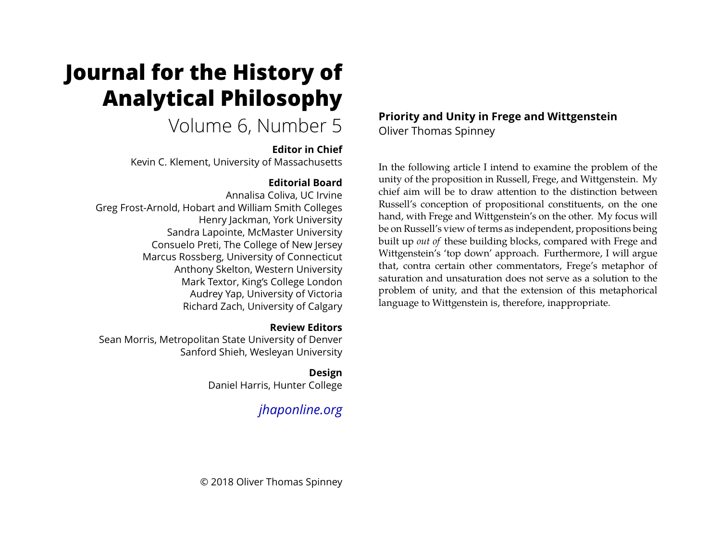# **Journal for the History of Analytical Philosophy**

## Volume 6, Number 5

### **Editor in Chief**

Kevin C. Klement, University of Massachusetts

## **Editorial Board**

Annalisa Coliva, UC Irvine Greg Frost-Arnold, Hobart and William Smith Colleges Henry Jackman, York University Sandra Lapointe, McMaster University Consuelo Preti, The College of New Jersey Marcus Rossberg, University of Connecticut Anthony Skelton, Western University Mark Textor, King's College London Audrey Yap, University of Victoria Richard Zach, University of Calgary

## **Review Editors**

Sean Morris, Metropolitan State University of Denver Sanford Shieh, Wesleyan University

## **Design**

Daniel Harris, Hunter College

## *[jhaponline.org](https://jhaponline.org)*

**Priority and Unity in Frege and Wittgenstein** Oliver Thomas Spinney

In the following article I intend to examine the problem of the unity of the proposition in Russell, Frege, and Wittgenstein. My chief aim will be to draw attention to the distinction between Russell's conception of propositional constituents, on the one hand, with Frege and Wittgenstein's on the other. My focus will be on Russell's view of terms as independent, propositions being built up *out of* these building blocks, compared with Frege and Wittgenstein's 'top down' approach. Furthermore, I will argue that, contra certain other commentators, Frege's metaphor of saturation and unsaturation does not serve as a solution to the problem of unity, and that the extension of this metaphorical language to Wittgenstein is, therefore, inappropriate.

© 2018 Oliver Thomas Spinney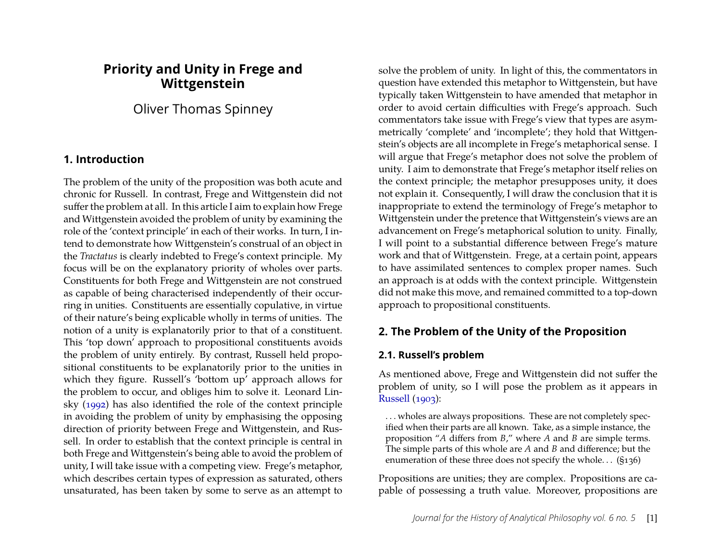## **Priority and Unity in Frege and Wittgenstein**

Oliver Thomas Spinney

#### **1. Introduction**

The problem of the unity of the proposition was both acute and chronic for Russell. In contrast, Frege and Wittgenstein did not suffer the problem at all. In this article I aim to explain how Frege and Wittgenstein avoided the problem of unity by examining the role of the 'context principle' in each of their works. In turn, I intend to demonstrate how Wittgenstein's construal of an object in the *Tractatus* is clearly indebted to Frege's context principle. My focus will be on the explanatory priority of wholes over parts. Constituents for both Frege and Wittgenstein are not construed as capable of being characterised independently of their occurring in unities. Constituents are essentially copulative, in virtue of their nature's being explicable wholly in terms of unities. The notion of a unity is explanatorily prior to that of a constituent. This 'top down' approach to propositional constituents avoids the problem of unity entirely. By contrast, Russell held propositional constituents to be explanatorily prior to the unities in which they figure. Russell's 'bottom up' approach allows for the problem to occur, and obliges him to solve it. Leonard Linsky [\(1992\)](#page-23-0) has also identified the role of the context principle in avoiding the problem of unity by emphasising the opposing direction of priority between Frege and Wittgenstein, and Russell. In order to establish that the context principle is central in both Frege and Wittgenstein's being able to avoid the problem of unity, I will take issue with a competing view. Frege's metaphor, which describes certain types of expression as saturated, others unsaturated, has been taken by some to serve as an attempt to

solve the problem of unity. In light of this, the commentators in question have extended this metaphor to Wittgenstein, but have typically taken Wittgenstein to have amended that metaphor in order to avoid certain difficulties with Frege's approach. Such commentators take issue with Frege's view that types are asymmetrically 'complete' and 'incomplete'; they hold that Wittgenstein's objects are all incomplete in Frege's metaphorical sense. I will argue that Frege's metaphor does not solve the problem of unity. I aim to demonstrate that Frege's metaphor itself relies on the context principle; the metaphor presupposes unity, it does not explain it. Consequently, I will draw the conclusion that it is inappropriate to extend the terminology of Frege's metaphor to Wittgenstein under the pretence that Wittgenstein's views are an advancement on Frege's metaphorical solution to unity. Finally, I will point to a substantial difference between Frege's mature work and that of Wittgenstein. Frege, at a certain point, appears to have assimilated sentences to complex proper names. Such an approach is at odds with the context principle. Wittgenstein did not make this move, and remained committed to a top-down approach to propositional constituents.

## **2. The Problem of the Unity of the Proposition**

#### **2.1. Russell's problem**

As mentioned above, Frege and Wittgenstein did not suffer the problem of unity, so I will pose the problem as it appears in [Russell](#page-23-1) [\(1903\)](#page-23-1):

. . . wholes are always propositions. These are not completely specified when their parts are all known. Take, as a simple instance, the proposition "*A* differs from *B*," where *A* and *B* are simple terms. The simple parts of this whole are *A* and *B* and difference; but the enumeration of these three does not specify the whole. . . (§136)

Propositions are unities; they are complex. Propositions are capable of possessing a truth value. Moreover, propositions are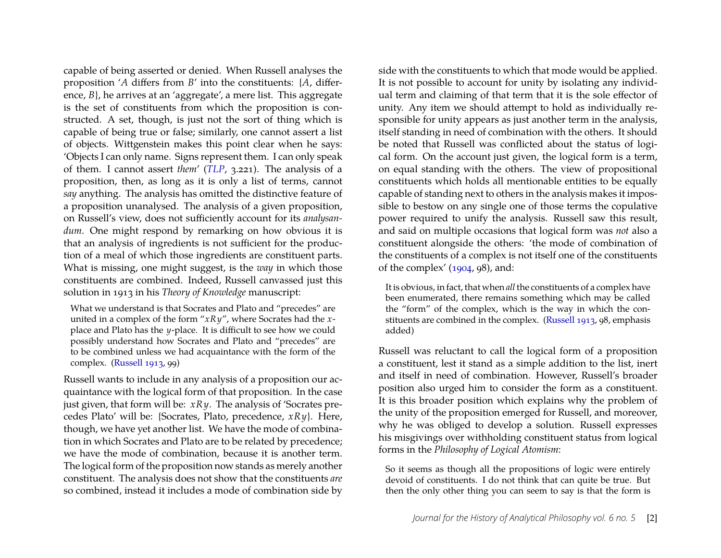capable of being asserted or denied. When Russell analyses the proposition '*A* differs from *B*' into the constituents: {*A*, difference, *B*}, he arrives at an 'aggregate', a mere list. This aggregate is the set of constituents from which the proposition is constructed. A set, though, is just not the sort of thing which is capable of being true or false; similarly, one cannot assert a list of objects. Wittgenstein makes this point clear when he says: 'Objects I can only name. Signs represent them. I can only speak of them. I cannot assert *them*' (*[TLP](#page-23-2)*, 3.221). The analysis of a proposition, then, as long as it is only a list of terms, cannot *say* anything. The analysis has omitted the distinctive feature of a proposition unanalysed. The analysis of a given proposition, on Russell's view, does not sufficiently account for its *analysandum*. One might respond by remarking on how obvious it is that an analysis of ingredients is not sufficient for the production of a meal of which those ingredients are constituent parts. What is missing, one might suggest, is the *way* in which those constituents are combined. Indeed, Russell canvassed just this solution in 1913 in his *Theory of Knowledge* manuscript:

What we understand is that Socrates and Plato and "precedes" are united in a complex of the form "*xRy*", where Socrates had the *x*place and Plato has the *y*-place. It is difficult to see how we could possibly understand how Socrates and Plato and "precedes" are to be combined unless we had acquaintance with the form of the complex. [\(Russell 1913,](#page-23-3) 99)

Russell wants to include in any analysis of a proposition our acquaintance with the logical form of that proposition. In the case just given, that form will be: *xRy*. The analysis of 'Socrates precedes Plato' will be: {Socrates, Plato, precedence, *xRy*}. Here, though, we have yet another list. We have the mode of combination in which Socrates and Plato are to be related by precedence; we have the mode of combination, because it is another term. The logical form of the proposition now stands as merely another constituent. The analysis does not show that the constituents *are* so combined, instead it includes a mode of combination side by

side with the constituents to which that mode would be applied. It is not possible to account for unity by isolating any individual term and claiming of that term that it is the sole effector of unity. Any item we should attempt to hold as individually responsible for unity appears as just another term in the analysis, itself standing in need of combination with the others. It should be noted that Russell was conflicted about the status of logical form. On the account just given, the logical form is a term, on equal standing with the others. The view of propositional constituents which holds all mentionable entities to be equally capable of standing next to others in the analysis makes it impossible to bestow on any single one of those terms the copulative power required to unify the analysis. Russell saw this result, and said on multiple occasions that logical form was *not* also a constituent alongside the others: 'the mode of combination of the constituents of a complex is not itself one of the constituents of the complex' [\(1904,](#page-23-4) 98), and:

It is obvious, in fact, that when *all* the constituents of a complex have been enumerated, there remains something which may be called the "form" of the complex, which is the way in which the constituents are combined in the complex. [\(Russell 1913,](#page-23-3) 98, emphasis added)

Russell was reluctant to call the logical form of a proposition a constituent, lest it stand as a simple addition to the list, inert and itself in need of combination. However, Russell's broader position also urged him to consider the form as a constituent. It is this broader position which explains why the problem of the unity of the proposition emerged for Russell, and moreover, why he was obliged to develop a solution. Russell expresses his misgivings over withholding constituent status from logical forms in the *Philosophy of Logical Atomism*:

So it seems as though all the propositions of logic were entirely devoid of constituents. I do not think that can quite be true. But then the only other thing you can seem to say is that the form is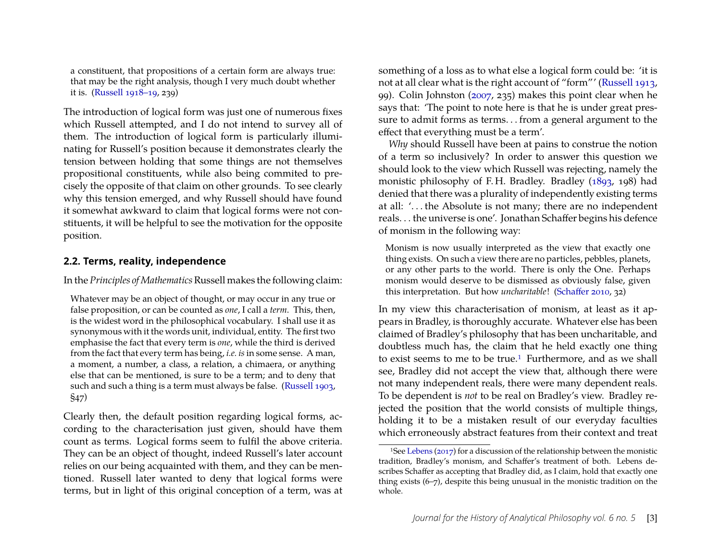a constituent, that propositions of a certain form are always true: that may be the right analysis, though I very much doubt whether it is. [\(Russell 1918–19,](#page-23-5) 239)

The introduction of logical form was just one of numerous fixes which Russell attempted, and I do not intend to survey all of them. The introduction of logical form is particularly illuminating for Russell's position because it demonstrates clearly the tension between holding that some things are not themselves propositional constituents, while also being commited to precisely the opposite of that claim on other grounds. To see clearly why this tension emerged, and why Russell should have found it somewhat awkward to claim that logical forms were not constituents, it will be helpful to see the motivation for the opposite position.

#### **2.2. Terms, reality, independence**

In the *Principles of Mathematics*Russell makes the following claim:

Whatever may be an object of thought, or may occur in any true or false proposition, or can be counted as *one*, I call a *term*. This, then, is the widest word in the philosophical vocabulary. I shall use it as synonymous with it the words unit, individual, entity. The first two emphasise the fact that every term is *one*, while the third is derived from the fact that every term has being, *i.e. is*in some sense. A man, a moment, a number, a class, a relation, a chimaera, or anything else that can be mentioned, is sure to be a term; and to deny that such and such a thing is a term must always be false. [\(Russell 1903,](#page-23-1) §47)

Clearly then, the default position regarding logical forms, according to the characterisation just given, should have them count as terms. Logical forms seem to fulfil the above criteria. They can be an object of thought, indeed Russell's later account relies on our being acquainted with them, and they can be mentioned. Russell later wanted to deny that logical forms were terms, but in light of this original conception of a term, was at something of a loss as to what else a logical form could be: 'it is not at all clear what is the right account of "form"' [\(Russell 1913,](#page-23-3) 99). Colin Johnston [\(2007,](#page-23-6) 235) makes this point clear when he says that: 'The point to note here is that he is under great pressure to admit forms as terms. . . from a general argument to the effect that everything must be a term'.

*Why* should Russell have been at pains to construe the notion of a term so inclusively? In order to answer this question we should look to the view which Russell was rejecting, namely the monistic philosophy of F. H. Bradley. Bradley [\(1893,](#page-22-0) 198) had denied that there was a plurality of independently existing terms at all: '. . . the Absolute is not many; there are no independent reals. . . the universe is one'. Jonathan Schaffer begins his defence of monism in the following way:

Monism is now usually interpreted as the view that exactly one thing exists. On such a view there are no particles, pebbles, planets, or any other parts to the world. There is only the One. Perhaps monism would deserve to be dismissed as obviously false, given this interpretation. But how *uncharitable*! [\(Schaffer 2010,](#page-23-7) 32)

In my view this characterisation of monism, at least as it appears in Bradley, is thoroughly accurate. Whatever else has been claimed of Bradley's philosophy that has been uncharitable, and doubtless much has, the claim that he held exactly one thing to exist seems to me to be true.<sup>[1](#page-3-0)</sup> Furthermore, and as we shall see, Bradley did not accept the view that, although there were not many independent reals, there were many dependent reals. To be dependent is *not* to be real on Bradley's view. Bradley rejected the position that the world consists of multiple things, holding it to be a mistaken result of our everyday faculties which erroneously abstract features from their context and treat

<span id="page-3-0"></span><sup>1</sup>See [Lebens](#page-23-8) [\(2017\)](#page-23-8) for a discussion of the relationship between the monistic tradition, Bradley's monism, and Schaffer's treatment of both. Lebens describes Schaffer as accepting that Bradley did, as I claim, hold that exactly one thing exists (6–7), despite this being unusual in the monistic tradition on the whole.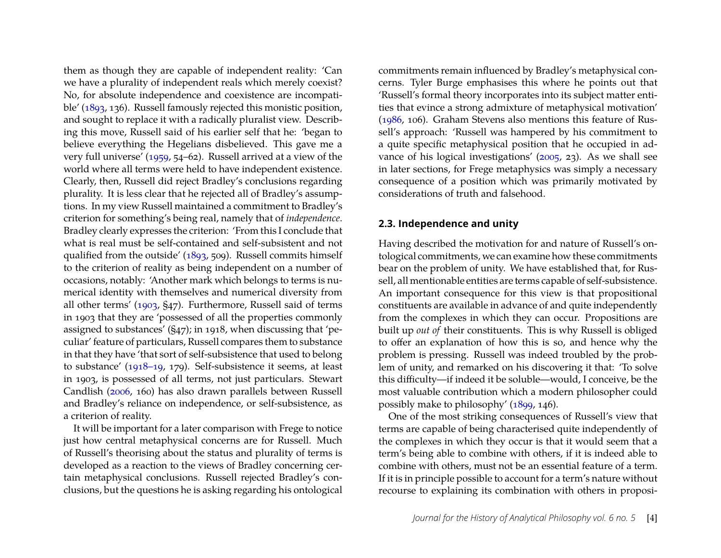them as though they are capable of independent reality: 'Can we have a plurality of independent reals which merely coexist? No, for absolute independence and coexistence are incompatible' [\(1893,](#page-22-0) 136). Russell famously rejected this monistic position, and sought to replace it with a radically pluralist view. Describing this move, Russell said of his earlier self that he: 'began to believe everything the Hegelians disbelieved. This gave me a very full universe' [\(1959,](#page-23-9) 54–62). Russell arrived at a view of the world where all terms were held to have independent existence. Clearly, then, Russell did reject Bradley's conclusions regarding plurality. It is less clear that he rejected all of Bradley's assumptions. In my view Russell maintained a commitment to Bradley's criterion for something's being real, namely that of *independence*. Bradley clearly expresses the criterion: 'From this I conclude that what is real must be self-contained and self-subsistent and not qualified from the outside' [\(1893,](#page-22-0) 509). Russell commits himself to the criterion of reality as being independent on a number of occasions, notably: 'Another mark which belongs to terms is numerical identity with themselves and numerical diversity from all other terms' [\(1903,](#page-23-1) §47). Furthermore, Russell said of terms in 1903 that they are 'possessed of all the properties commonly assigned to substances' (§47); in 1918, when discussing that 'peculiar' feature of particulars, Russell compares them to substance in that they have 'that sort of self-subsistence that used to belong to substance' [\(1918–19,](#page-23-5) 179). Self-subsistence it seems, at least in 1903, is possessed of all terms, not just particulars. Stewart Candlish [\(2006,](#page-22-1) 160) has also drawn parallels between Russell and Bradley's reliance on independence, or self-subsistence, as a criterion of reality.

It will be important for a later comparison with Frege to notice just how central metaphysical concerns are for Russell. Much of Russell's theorising about the status and plurality of terms is developed as a reaction to the views of Bradley concerning certain metaphysical conclusions. Russell rejected Bradley's conclusions, but the questions he is asking regarding his ontological

commitments remain influenced by Bradley's metaphysical concerns. Tyler Burge emphasises this where he points out that 'Russell's formal theory incorporates into its subject matter entities that evince a strong admixture of metaphysical motivation' [\(1986,](#page-22-2) 106). Graham Stevens also mentions this feature of Russell's approach: 'Russell was hampered by his commitment to a quite specific metaphysical position that he occupied in advance of his logical investigations' [\(2005,](#page-23-10) 23). As we shall see in later sections, for Frege metaphysics was simply a necessary consequence of a position which was primarily motivated by considerations of truth and falsehood.

#### **2.3. Independence and unity**

Having described the motivation for and nature of Russell's ontological commitments, we can examine how these commitments bear on the problem of unity. We have established that, for Russell, all mentionable entities are terms capable of self-subsistence. An important consequence for this view is that propositional constituents are available in advance of and quite independently from the complexes in which they can occur. Propositions are built up *out of* their constituents. This is why Russell is obliged to offer an explanation of how this is so, and hence why the problem is pressing. Russell was indeed troubled by the problem of unity, and remarked on his discovering it that: 'To solve this difficulty—if indeed it be soluble—would, I conceive, be the most valuable contribution which a modern philosopher could possibly make to philosophy' [\(1899,](#page-23-11) 146).

One of the most striking consequences of Russell's view that terms are capable of being characterised quite independently of the complexes in which they occur is that it would seem that a term's being able to combine with others, if it is indeed able to combine with others, must not be an essential feature of a term. If it is in principle possible to account for a term's nature without recourse to explaining its combination with others in proposi-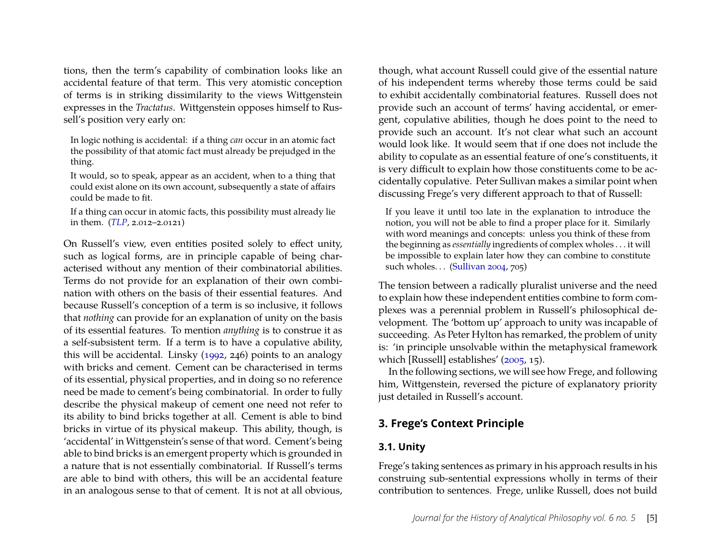tions, then the term's capability of combination looks like an accidental feature of that term. This very atomistic conception of terms is in striking dissimilarity to the views Wittgenstein expresses in the *Tractatus*. Wittgenstein opposes himself to Russell's position very early on:

In logic nothing is accidental: if a thing *can* occur in an atomic fact the possibility of that atomic fact must already be prejudged in the thing.

It would, so to speak, appear as an accident, when to a thing that could exist alone on its own account, subsequently a state of affairs could be made to fit.

If a thing can occur in atomic facts, this possibility must already lie in them. (*[TLP](#page-23-2)*, 2.012–2.0121)

On Russell's view, even entities posited solely to effect unity, such as logical forms, are in principle capable of being characterised without any mention of their combinatorial abilities. Terms do not provide for an explanation of their own combination with others on the basis of their essential features. And because Russell's conception of a term is so inclusive, it follows that *nothing* can provide for an explanation of unity on the basis of its essential features. To mention *anything* is to construe it as a self-subsistent term. If a term is to have a copulative ability, this will be accidental. Linsky [\(1992,](#page-23-0) 246) points to an analogy with bricks and cement. Cement can be characterised in terms of its essential, physical properties, and in doing so no reference need be made to cement's being combinatorial. In order to fully describe the physical makeup of cement one need not refer to its ability to bind bricks together at all. Cement is able to bind bricks in virtue of its physical makeup. This ability, though, is 'accidental' in Wittgenstein's sense of that word. Cement's being able to bind bricks is an emergent property which is grounded in a nature that is not essentially combinatorial. If Russell's terms are able to bind with others, this will be an accidental feature in an analogous sense to that of cement. It is not at all obvious,

though, what account Russell could give of the essential nature of his independent terms whereby those terms could be said to exhibit accidentally combinatorial features. Russell does not provide such an account of terms' having accidental, or emergent, copulative abilities, though he does point to the need to provide such an account. It's not clear what such an account would look like. It would seem that if one does not include the ability to copulate as an essential feature of one's constituents, it is very difficult to explain how those constituents come to be accidentally copulative. Peter Sullivan makes a similar point when discussing Frege's very different approach to that of Russell:

If you leave it until too late in the explanation to introduce the notion, you will not be able to find a proper place for it. Similarly with word meanings and concepts: unless you think of these from the beginning as *essentially* ingredients of complex wholes . . . it will be impossible to explain later how they can combine to constitute such wholes. . . [\(Sullivan 2004,](#page-23-12) 705)

The tension between a radically pluralist universe and the need to explain how these independent entities combine to form complexes was a perennial problem in Russell's philosophical development. The 'bottom up' approach to unity was incapable of succeeding. As Peter Hylton has remarked, the problem of unity is: 'in principle unsolvable within the metaphysical framework which [Russell] establishes' [\(2005,](#page-22-3) 15).

In the following sections, we will see how Frege, and following him, Wittgenstein, reversed the picture of explanatory priority just detailed in Russell's account.

## **3. Frege's Context Principle**

#### **3.1. Unity**

Frege's taking sentences as primary in his approach results in his construing sub-sentential expressions wholly in terms of their contribution to sentences. Frege, unlike Russell, does not build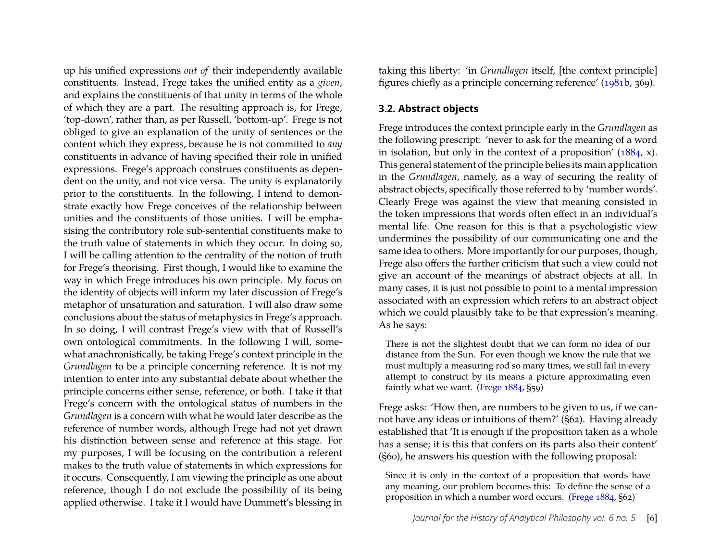up his unified expressions *out of* their independently available constituents. Instead, Frege takes the unified entity as a *given*, and explains the constituents of that unity in terms of the whole of which they are a part. The resulting approach is, for Frege, 'top-down', rather than, as per Russell, 'bottom-up'. Frege is not obliged to give an explanation of the unity of sentences or the content which they express, because he is not committed to *any* constituents in advance of having specified their role in unified expressions. Frege's approach construes constituents as dependent on the unity, and not vice versa. The unity is explanatorily prior to the constituents. In the following, I intend to demonstrate exactly how Frege conceives of the relationship between unities and the constituents of those unities. I will be emphasising the contributory role sub-sentential constituents make to the truth value of statements in which they occur. In doing so, I will be calling attention to the centrality of the notion of truth for Frege's theorising. First though, I would like to examine the way in which Frege introduces his own principle. My focus on the identity of objects will inform my later discussion of Frege's metaphor of unsaturation and saturation. I will also draw some conclusions about the status of metaphysics in Frege's approach. In so doing, I will contrast Frege's view with that of Russell's own ontological commitments. In the following I will, somewhat anachronistically, be taking Frege's context principle in the *Grundlagen* to be a principle concerning reference. It is not my intention to enter into any substantial debate about whether the principle concerns either sense, reference, or both. I take it that Frege's concern with the ontological status of numbers in the *Grundlagen* is a concern with what he would later describe as the reference of number words, although Frege had not yet drawn his distinction between sense and reference at this stage. For my purposes, I will be focusing on the contribution a referent makes to the truth value of statements in which expressions for it occurs. Consequently, I am viewing the principle as one about reference, though I do not exclude the possibility of its being applied otherwise. I take it I would have Dummett's blessing in taking this liberty: 'in *Grundlagen* itself, [the context principle] figures chiefly as a principle concerning reference' [\(1981b,](#page-22-4) 369).

#### **3.2. Abstract objects**

Frege introduces the context principle early in the *Grundlagen* as the following prescript: 'never to ask for the meaning of a word in isolation, but only in the context of a proposition' [\(1884,](#page-22-5) x). This general statement of the principle belies its main application in the *Grundlagen*, namely, as a way of securing the reality of abstract objects, specifically those referred to by 'number words'. Clearly Frege was against the view that meaning consisted in the token impressions that words often effect in an individual's mental life. One reason for this is that a psychologistic view undermines the possibility of our communicating one and the same idea to others. More importantly for our purposes, though, Frege also offers the further criticism that such a view could not give an account of the meanings of abstract objects at all. In many cases, it is just not possible to point to a mental impression associated with an expression which refers to an abstract object which we could plausibly take to be that expression's meaning. As he says:

There is not the slightest doubt that we can form no idea of our distance from the Sun. For even though we know the rule that we must multiply a measuring rod so many times, we still fail in every attempt to construct by its means a picture approximating even faintly what we want. (Frege  $1884, 559$ )

Frege asks: 'How then, are numbers to be given to us, if we cannot have any ideas or intuitions of them?' (§62). Having already established that 'It is enough if the proposition taken as a whole has a sense; it is this that confers on its parts also their content' (§60), he answers his question with the following proposal:

Since it is only in the context of a proposition that words have any meaning, our problem becomes this: To define the sense of a proposition in which a number word occurs. [\(Frege 1884,](#page-22-5) §62)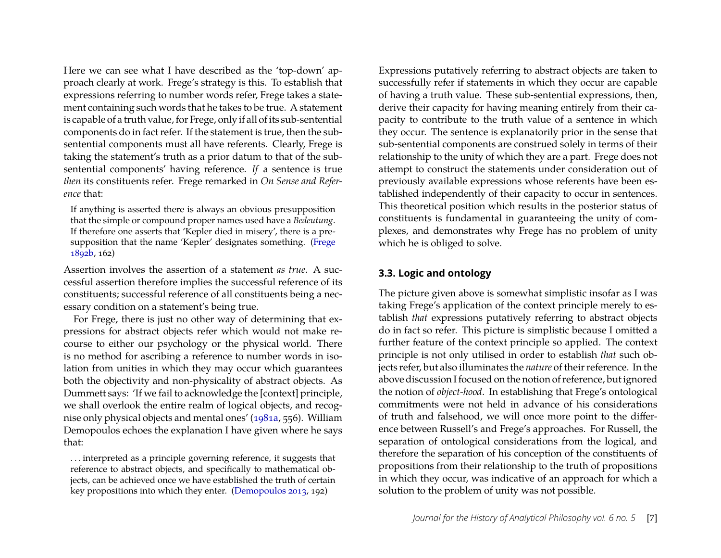Here we can see what I have described as the 'top-down' approach clearly at work. Frege's strategy is this. To establish that expressions referring to number words refer, Frege takes a statement containing such words that he takes to be true. A statement is capable of a truth value, for Frege, only if all of its sub-sentential components do in fact refer. If the statement is true, then the subsentential components must all have referents. Clearly, Frege is taking the statement's truth as a prior datum to that of the subsentential components' having reference. *If* a sentence is true *then* its constituents refer. Frege remarked in *On Sense and Reference* that:

If anything is asserted there is always an obvious presupposition that the simple or compound proper names used have a *Bedeutung*. If therefore one asserts that 'Kepler died in misery', there is a presupposition that the name 'Kepler' designates something. [\(Frege](#page-22-6) [1892b,](#page-22-6) 162)

Assertion involves the assertion of a statement *as true*. A successful assertion therefore implies the successful reference of its constituents; successful reference of all constituents being a necessary condition on a statement's being true.

For Frege, there is just no other way of determining that expressions for abstract objects refer which would not make recourse to either our psychology or the physical world. There is no method for ascribing a reference to number words in isolation from unities in which they may occur which guarantees both the objectivity and non-physicality of abstract objects. As Dummett says: 'If we fail to acknowledge the [context] principle, we shall overlook the entire realm of logical objects, and recognise only physical objects and mental ones' [\(1981a,](#page-22-7) 556). William Demopoulos echoes the explanation I have given where he says that:

. . . interpreted as a principle governing reference, it suggests that reference to abstract objects, and specifically to mathematical objects, can be achieved once we have established the truth of certain key propositions into which they enter. [\(Demopoulos 2013,](#page-22-8) 192)

Expressions putatively referring to abstract objects are taken to successfully refer if statements in which they occur are capable of having a truth value. These sub-sentential expressions, then, derive their capacity for having meaning entirely from their capacity to contribute to the truth value of a sentence in which they occur. The sentence is explanatorily prior in the sense that sub-sentential components are construed solely in terms of their relationship to the unity of which they are a part. Frege does not attempt to construct the statements under consideration out of previously available expressions whose referents have been established independently of their capacity to occur in sentences. This theoretical position which results in the posterior status of constituents is fundamental in guaranteeing the unity of complexes, and demonstrates why Frege has no problem of unity which he is obliged to solve.

#### **3.3. Logic and ontology**

The picture given above is somewhat simplistic insofar as I was taking Frege's application of the context principle merely to establish *that* expressions putatively referring to abstract objects do in fact so refer. This picture is simplistic because I omitted a further feature of the context principle so applied. The context principle is not only utilised in order to establish *that* such objects refer, but also illuminates the *nature* of their reference. In the above discussion I focused on the notion of reference, but ignored the notion of *object-hood*. In establishing that Frege's ontological commitments were not held in advance of his considerations of truth and falsehood, we will once more point to the difference between Russell's and Frege's approaches. For Russell, the separation of ontological considerations from the logical, and therefore the separation of his conception of the constituents of propositions from their relationship to the truth of propositions in which they occur, was indicative of an approach for which a solution to the problem of unity was not possible.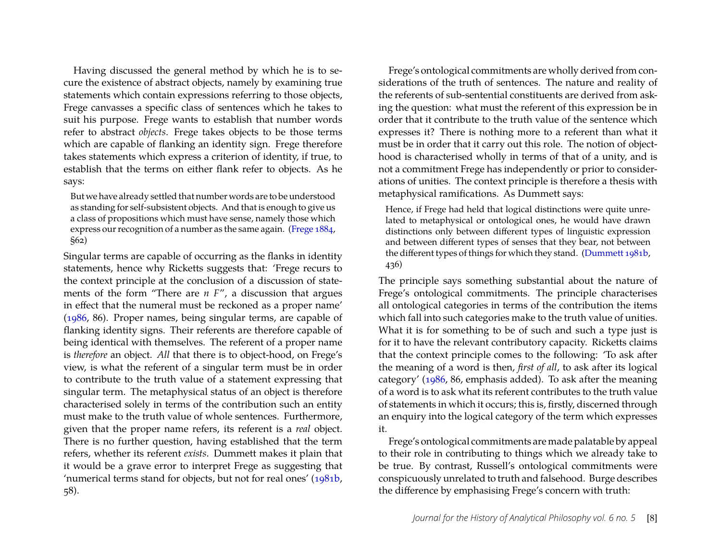Having discussed the general method by which he is to secure the existence of abstract objects, namely by examining true statements which contain expressions referring to those objects, Frege canvasses a specific class of sentences which he takes to suit his purpose. Frege wants to establish that number words refer to abstract *objects*. Frege takes objects to be those terms which are capable of flanking an identity sign. Frege therefore takes statements which express a criterion of identity, if true, to establish that the terms on either flank refer to objects. As he says:

But we have already settled that number words are to be understood as standing for self-subsistent objects. And that is enough to give us a class of propositions which must have sense, namely those which express our recognition of a number as the same again. [\(Frege 1884,](#page-22-5) §62)

Singular terms are capable of occurring as the flanks in identity statements, hence why Ricketts suggests that: 'Frege recurs to the context principle at the conclusion of a discussion of statements of the form "There are *n F*", a discussion that argues in effect that the numeral must be reckoned as a proper name' [\(1986,](#page-23-13) 86). Proper names, being singular terms, are capable of flanking identity signs. Their referents are therefore capable of being identical with themselves. The referent of a proper name is *therefore* an object. *All* that there is to object-hood, on Frege's view, is what the referent of a singular term must be in order to contribute to the truth value of a statement expressing that singular term. The metaphysical status of an object is therefore characterised solely in terms of the contribution such an entity must make to the truth value of whole sentences. Furthermore, given that the proper name refers, its referent is a *real* object. There is no further question, having established that the term refers, whether its referent *exists*. Dummett makes it plain that it would be a grave error to interpret Frege as suggesting that 'numerical terms stand for objects, but not for real ones' [\(1981b,](#page-22-4) 58).

Frege's ontological commitments are wholly derived from considerations of the truth of sentences. The nature and reality of the referents of sub-sentential constituents are derived from asking the question: what must the referent of this expression be in order that it contribute to the truth value of the sentence which expresses it? There is nothing more to a referent than what it must be in order that it carry out this role. The notion of objecthood is characterised wholly in terms of that of a unity, and is not a commitment Frege has independently or prior to considerations of unities. The context principle is therefore a thesis with metaphysical ramifications. As Dummett says:

Hence, if Frege had held that logical distinctions were quite unrelated to metaphysical or ontological ones, he would have drawn distinctions only between different types of linguistic expression and between different types of senses that they bear, not between the different types of things for which they stand. [\(Dummett 1981b,](#page-22-4) 436)

The principle says something substantial about the nature of Frege's ontological commitments. The principle characterises all ontological categories in terms of the contribution the items which fall into such categories make to the truth value of unities. What it is for something to be of such and such a type just is for it to have the relevant contributory capacity. Ricketts claims that the context principle comes to the following: 'To ask after the meaning of a word is then, *first of all*, to ask after its logical category' [\(1986,](#page-23-13) 86, emphasis added). To ask after the meaning of a word is to ask what its referent contributes to the truth value of statements in which it occurs; this is, firstly, discerned through an enquiry into the logical category of the term which expresses it.

Frege's ontological commitments are made palatable by appeal to their role in contributing to things which we already take to be true. By contrast, Russell's ontological commitments were conspicuously unrelated to truth and falsehood. Burge describes the difference by emphasising Frege's concern with truth: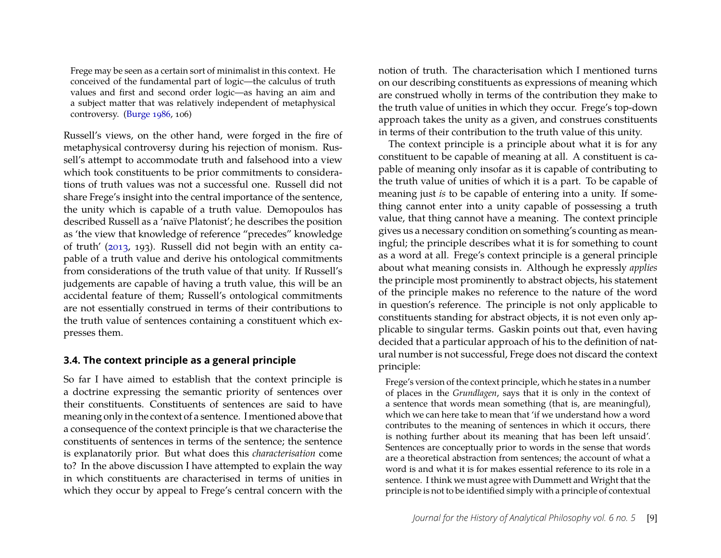Frege may be seen as a certain sort of minimalist in this context. He conceived of the fundamental part of logic—the calculus of truth values and first and second order logic—as having an aim and a subject matter that was relatively independent of metaphysical controversy. [\(Burge 1986,](#page-22-2) 106)

Russell's views, on the other hand, were forged in the fire of metaphysical controversy during his rejection of monism. Russell's attempt to accommodate truth and falsehood into a view which took constituents to be prior commitments to considerations of truth values was not a successful one. Russell did not share Frege's insight into the central importance of the sentence, the unity which is capable of a truth value. Demopoulos has described Russell as a 'naïve Platonist'; he describes the position as 'the view that knowledge of reference "precedes" knowledge of truth' [\(2013,](#page-22-8) 193). Russell did not begin with an entity capable of a truth value and derive his ontological commitments from considerations of the truth value of that unity. If Russell's judgements are capable of having a truth value, this will be an accidental feature of them; Russell's ontological commitments are not essentially construed in terms of their contributions to the truth value of sentences containing a constituent which expresses them.

#### **3.4. The context principle as a general principle**

So far I have aimed to establish that the context principle is a doctrine expressing the semantic priority of sentences over their constituents. Constituents of sentences are said to have meaning only in the context of a sentence. I mentioned above that a consequence of the context principle is that we characterise the constituents of sentences in terms of the sentence; the sentence is explanatorily prior. But what does this *characterisation* come to? In the above discussion I have attempted to explain the way in which constituents are characterised in terms of unities in which they occur by appeal to Frege's central concern with the notion of truth. The characterisation which I mentioned turns on our describing constituents as expressions of meaning which are construed wholly in terms of the contribution they make to the truth value of unities in which they occur. Frege's top-down approach takes the unity as a given, and construes constituents in terms of their contribution to the truth value of this unity.

The context principle is a principle about what it is for any constituent to be capable of meaning at all. A constituent is capable of meaning only insofar as it is capable of contributing to the truth value of unities of which it is a part. To be capable of meaning just *is* to be capable of entering into a unity. If something cannot enter into a unity capable of possessing a truth value, that thing cannot have a meaning. The context principle gives us a necessary condition on something's counting as meaningful; the principle describes what it is for something to count as a word at all. Frege's context principle is a general principle about what meaning consists in. Although he expressly *applies* the principle most prominently to abstract objects, his statement of the principle makes no reference to the nature of the word in question's reference. The principle is not only applicable to constituents standing for abstract objects, it is not even only applicable to singular terms. Gaskin points out that, even having decided that a particular approach of his to the definition of natural number is not successful, Frege does not discard the context principle:

Frege's version of the context principle, which he states in a number of places in the *Grundlagen*, says that it is only in the context of a sentence that words mean something (that is, are meaningful), which we can here take to mean that 'if we understand how a word contributes to the meaning of sentences in which it occurs, there is nothing further about its meaning that has been left unsaid'. Sentences are conceptually prior to words in the sense that words are a theoretical abstraction from sentences; the account of what a word is and what it is for makes essential reference to its role in a sentence. I think we must agree with Dummett and Wright that the principle is not to be identified simply with a principle of contextual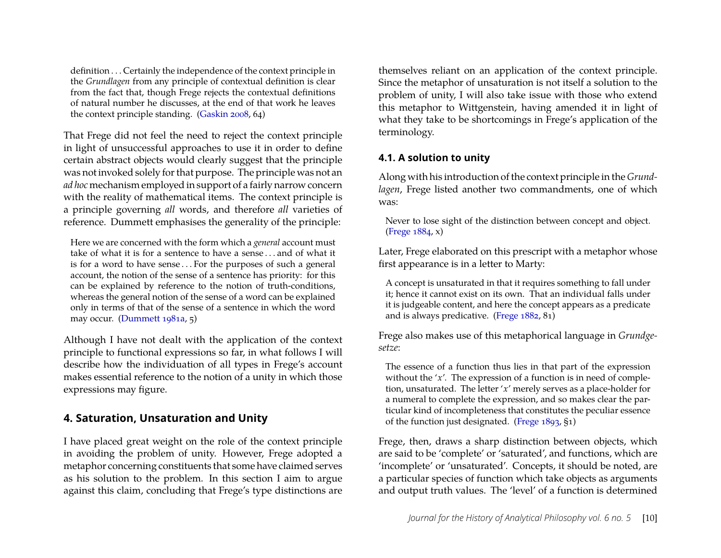definition . . . Certainly the independence of the context principle in the *Grundlagen* from any principle of contextual definition is clear from the fact that, though Frege rejects the contextual definitions of natural number he discusses, at the end of that work he leaves the context principle standing. [\(Gaskin 2008,](#page-22-9) 64)

That Frege did not feel the need to reject the context principle in light of unsuccessful approaches to use it in order to define certain abstract objects would clearly suggest that the principle was not invoked solely for that purpose. The principle was not an *ad hoc* mechanism employed in support of a fairly narrow concern with the reality of mathematical items. The context principle is a principle governing *all* words, and therefore *all* varieties of reference. Dummett emphasises the generality of the principle:

Here we are concerned with the form which a *general* account must take of what it is for a sentence to have a sense . . . and of what it is for a word to have sense ... For the purposes of such a general account, the notion of the sense of a sentence has priority: for this can be explained by reference to the notion of truth-conditions, whereas the general notion of the sense of a word can be explained only in terms of that of the sense of a sentence in which the word may occur. [\(Dummett 1981a,](#page-22-7) 5)

Although I have not dealt with the application of the context principle to functional expressions so far, in what follows I will describe how the individuation of all types in Frege's account makes essential reference to the notion of a unity in which those expressions may figure.

## **4. Saturation, Unsaturation and Unity**

I have placed great weight on the role of the context principle in avoiding the problem of unity. However, Frege adopted a metaphor concerning constituents that some have claimed serves as his solution to the problem. In this section I aim to argue against this claim, concluding that Frege's type distinctions are themselves reliant on an application of the context principle. Since the metaphor of unsaturation is not itself a solution to the problem of unity, I will also take issue with those who extend this metaphor to Wittgenstein, having amended it in light of what they take to be shortcomings in Frege's application of the terminology.

#### <span id="page-10-0"></span>**4.1. A solution to unity**

Along with his introduction of the context principle in the *Grundlagen*, Frege listed another two commandments, one of which was:

Never to lose sight of the distinction between concept and object. [\(Frege 1884,](#page-22-5) x)

Later, Frege elaborated on this prescript with a metaphor whose first appearance is in a letter to Marty:

A concept is unsaturated in that it requires something to fall under it; hence it cannot exist on its own. That an individual falls under it is judgeable content, and here the concept appears as a predicate and is always predicative. [\(Frege 1882,](#page-22-10) 81)

Frege also makes use of this metaphorical language in *Grundgesetze*:

The essence of a function thus lies in that part of the expression without the '*x*'. The expression of a function is in need of completion, unsaturated. The letter '*x*' merely serves as a place-holder for a numeral to complete the expression, and so makes clear the particular kind of incompleteness that constitutes the peculiar essence of the function just designated. [\(Frege 1893,](#page-22-11) §1)

Frege, then, draws a sharp distinction between objects, which are said to be 'complete' or 'saturated', and functions, which are 'incomplete' or 'unsaturated'. Concepts, it should be noted, are a particular species of function which take objects as arguments and output truth values. The 'level' of a function is determined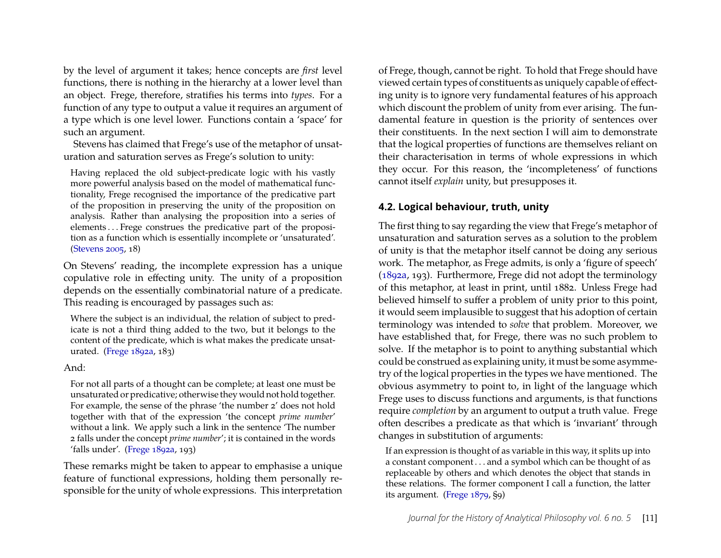by the level of argument it takes; hence concepts are *first* level functions, there is nothing in the hierarchy at a lower level than an object. Frege, therefore, stratifies his terms into *types*. For a function of any type to output a value it requires an argument of a type which is one level lower. Functions contain a 'space' for such an argument.

Stevens has claimed that Frege's use of the metaphor of unsaturation and saturation serves as Frege's solution to unity:

Having replaced the old subject-predicate logic with his vastly more powerful analysis based on the model of mathematical functionality, Frege recognised the importance of the predicative part of the proposition in preserving the unity of the proposition on analysis. Rather than analysing the proposition into a series of elements . . . Frege construes the predicative part of the proposition as a function which is essentially incomplete or 'unsaturated'. [\(Stevens 2005,](#page-23-10) 18)

On Stevens' reading, the incomplete expression has a unique copulative role in effecting unity. The unity of a proposition depends on the essentially combinatorial nature of a predicate. This reading is encouraged by passages such as:

Where the subject is an individual, the relation of subject to predicate is not a third thing added to the two, but it belongs to the content of the predicate, which is what makes the predicate unsaturated. [\(Frege 1892a,](#page-22-12) 183)

#### And:

For not all parts of a thought can be complete; at least one must be unsaturated or predicative; otherwise they would not hold together. For example, the sense of the phrase 'the number 2' does not hold together with that of the expression 'the concept *prime number*' without a link. We apply such a link in the sentence 'The number 2 falls under the concept *prime number*'; it is contained in the words 'falls under'. [\(Frege 1892a,](#page-22-12) 193)

These remarks might be taken to appear to emphasise a unique feature of functional expressions, holding them personally responsible for the unity of whole expressions. This interpretation

of Frege, though, cannot be right. To hold that Frege should have viewed certain types of constituents as uniquely capable of effecting unity is to ignore very fundamental features of his approach which discount the problem of unity from ever arising. The fundamental feature in question is the priority of sentences over their constituents. In the next section I will aim to demonstrate that the logical properties of functions are themselves reliant on their characterisation in terms of whole expressions in which they occur. For this reason, the 'incompleteness' of functions cannot itself *explain* unity, but presupposes it.

#### **4.2. Logical behaviour, truth, unity**

The first thing to say regarding the view that Frege's metaphor of unsaturation and saturation serves as a solution to the problem of unity is that the metaphor itself cannot be doing any serious work. The metaphor, as Frege admits, is only a 'figure of speech' [\(1892a,](#page-22-12) 193). Furthermore, Frege did not adopt the terminology of this metaphor, at least in print, until 1882. Unless Frege had believed himself to suffer a problem of unity prior to this point, it would seem implausible to suggest that his adoption of certain terminology was intended to *solve* that problem. Moreover, we have established that, for Frege, there was no such problem to solve. If the metaphor is to point to anything substantial which could be construed as explaining unity, it must be some asymmetry of the logical properties in the types we have mentioned. The obvious asymmetry to point to, in light of the language which Frege uses to discuss functions and arguments, is that functions require *completion* by an argument to output a truth value. Frege often describes a predicate as that which is 'invariant' through changes in substitution of arguments:

If an expression is thought of as variable in this way, it splits up into a constant component . . . and a symbol which can be thought of as replaceable by others and which denotes the object that stands in these relations. The former component I call a function, the latter its argument. [\(Frege 1879,](#page-22-13) §9)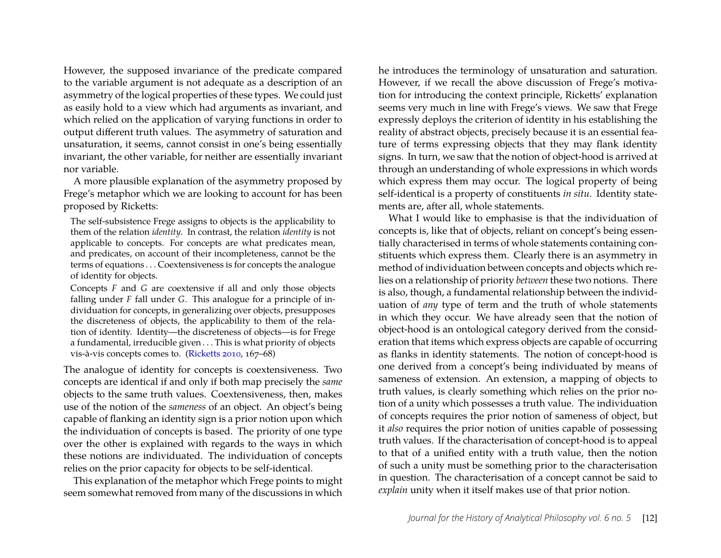However, the supposed invariance of the predicate compared to the variable argument is not adequate as a description of an asymmetry of the logical properties of these types. We could just as easily hold to a view which had arguments as invariant, and which relied on the application of varying functions in order to output different truth values. The asymmetry of saturation and unsaturation, it seems, cannot consist in one's being essentially invariant, the other variable, for neither are essentially invariant nor variable.

A more plausible explanation of the asymmetry proposed by Frege's metaphor which we are looking to account for has been proposed by Ricketts:

The self-subsistence Frege assigns to objects is the applicability to them of the relation *identity*. In contrast, the relation *identity* is not applicable to concepts. For concepts are what predicates mean, and predicates, on account of their incompleteness, cannot be the terms of equations . . . Coextensiveness is for concepts the analogue of identity for objects.

Concepts *F* and *G* are coextensive if all and only those objects falling under *F* fall under *G*. This analogue for a principle of individuation for concepts, in generalizing over objects, presupposes the discreteness of objects, the applicability to them of the relation of identity. Identity—the discreteness of objects—is for Frege a fundamental, irreducible given . . . This is what priority of objects vis-à-vis concepts comes to. [\(Ricketts 2010,](#page-23-14) 167–68)

The analogue of identity for concepts is coextensiveness. Two concepts are identical if and only if both map precisely the *same* objects to the same truth values. Coextensiveness, then, makes use of the notion of the *sameness* of an object. An object's being capable of flanking an identity sign is a prior notion upon which the individuation of concepts is based. The priority of one type over the other is explained with regards to the ways in which these notions are individuated. The individuation of concepts relies on the prior capacity for objects to be self-identical.

This explanation of the metaphor which Frege points to might seem somewhat removed from many of the discussions in which he introduces the terminology of unsaturation and saturation. However, if we recall the above discussion of Frege's motivation for introducing the context principle, Ricketts' explanation seems very much in line with Frege's views. We saw that Frege expressly deploys the criterion of identity in his establishing the reality of abstract objects, precisely because it is an essential feature of terms expressing objects that they may flank identity signs. In turn, we saw that the notion of object-hood is arrived at through an understanding of whole expressions in which words which express them may occur. The logical property of being self-identical is a property of constituents *in situ*. Identity statements are, after all, whole statements.

What I would like to emphasise is that the individuation of concepts is, like that of objects, reliant on concept's being essentially characterised in terms of whole statements containing constituents which express them. Clearly there is an asymmetry in method of individuation between concepts and objects which relies on a relationship of priority *between* these two notions. There is also, though, a fundamental relationship between the individuation of *any* type of term and the truth of whole statements in which they occur. We have already seen that the notion of object-hood is an ontological category derived from the consideration that items which express objects are capable of occurring as flanks in identity statements. The notion of concept-hood is one derived from a concept's being individuated by means of sameness of extension. An extension, a mapping of objects to truth values, is clearly something which relies on the prior notion of a unity which possesses a truth value. The individuation of concepts requires the prior notion of sameness of object, but it *also* requires the prior notion of unities capable of possessing truth values. If the characterisation of concept-hood is to appeal to that of a unified entity with a truth value, then the notion of such a unity must be something prior to the characterisation in question. The characterisation of a concept cannot be said to *explain* unity when it itself makes use of that prior notion.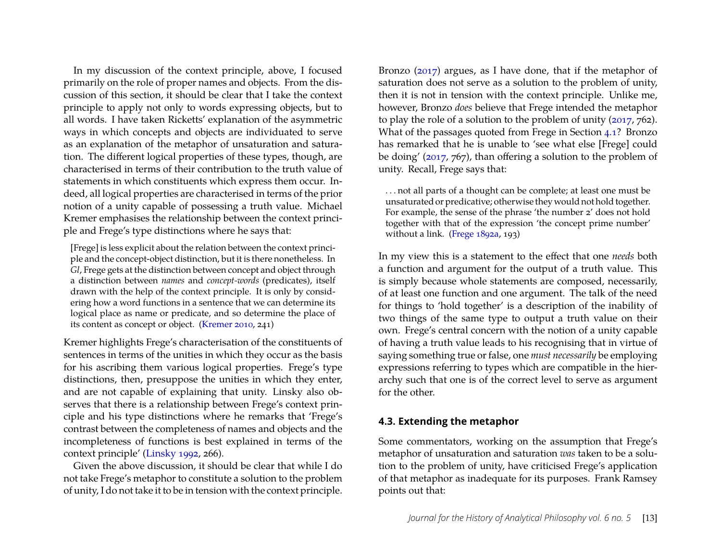In my discussion of the context principle, above, I focused primarily on the role of proper names and objects. From the discussion of this section, it should be clear that I take the context principle to apply not only to words expressing objects, but to all words. I have taken Ricketts' explanation of the asymmetric ways in which concepts and objects are individuated to serve as an explanation of the metaphor of unsaturation and saturation. The different logical properties of these types, though, are characterised in terms of their contribution to the truth value of statements in which constituents which express them occur. Indeed, all logical properties are characterised in terms of the prior notion of a unity capable of possessing a truth value. Michael Kremer emphasises the relationship between the context principle and Frege's type distinctions where he says that:

[Frege] is less explicit about the relation between the context principle and the concept-object distinction, but it is there nonetheless. In *Gl*, Frege gets at the distinction between concept and object through a distinction between *names* and *concept-words* (predicates), itself drawn with the help of the context principle. It is only by considering how a word functions in a sentence that we can determine its logical place as name or predicate, and so determine the place of its content as concept or object. [\(Kremer 2010,](#page-23-15) 241)

Kremer highlights Frege's characterisation of the constituents of sentences in terms of the unities in which they occur as the basis for his ascribing them various logical properties. Frege's type distinctions, then, presuppose the unities in which they enter, and are not capable of explaining that unity. Linsky also observes that there is a relationship between Frege's context principle and his type distinctions where he remarks that 'Frege's contrast between the completeness of names and objects and the incompleteness of functions is best explained in terms of the context principle' [\(Linsky 1992,](#page-23-0) 266).

Given the above discussion, it should be clear that while I do not take Frege's metaphor to constitute a solution to the problem of unity, I do not take it to be in tension with the context principle. Bronzo [\(2017\)](#page-22-14) argues, as I have done, that if the metaphor of saturation does not serve as a solution to the problem of unity, then it is not in tension with the context principle. Unlike me, however, Bronzo *does* believe that Frege intended the metaphor to play the role of a solution to the problem of unity [\(2017,](#page-22-14) 762). What of the passages quoted from Frege in Section [4.1?](#page-10-0) Bronzo has remarked that he is unable to 'see what else [Frege] could be doing' [\(2017,](#page-22-14) 767), than offering a solution to the problem of unity. Recall, Frege says that:

. . . not all parts of a thought can be complete; at least one must be unsaturated or predicative; otherwise they would not hold together. For example, the sense of the phrase 'the number 2' does not hold together with that of the expression 'the concept prime number' without a link. [\(Frege 1892a,](#page-22-12) 193)

In my view this is a statement to the effect that one *needs* both a function and argument for the output of a truth value. This is simply because whole statements are composed, necessarily, of at least one function and one argument. The talk of the need for things to 'hold together' is a description of the inability of two things of the same type to output a truth value on their own. Frege's central concern with the notion of a unity capable of having a truth value leads to his recognising that in virtue of saying something true or false, one *must necessarily* be employing expressions referring to types which are compatible in the hierarchy such that one is of the correct level to serve as argument for the other.

#### **4.3. Extending the metaphor**

Some commentators, working on the assumption that Frege's metaphor of unsaturation and saturation *was* taken to be a solution to the problem of unity, have criticised Frege's application of that metaphor as inadequate for its purposes. Frank Ramsey points out that: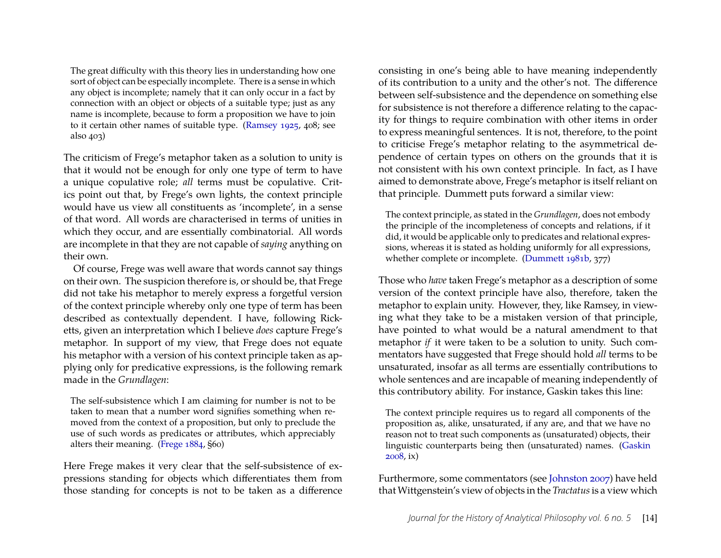The great difficulty with this theory lies in understanding how one sort of object can be especially incomplete. There is a sense in which any object is incomplete; namely that it can only occur in a fact by connection with an object or objects of a suitable type; just as any name is incomplete, because to form a proposition we have to join to it certain other names of suitable type. [\(Ramsey 1925,](#page-23-16) 408; see also 403)

The criticism of Frege's metaphor taken as a solution to unity is that it would not be enough for only one type of term to have a unique copulative role; *all* terms must be copulative. Critics point out that, by Frege's own lights, the context principle would have us view all constituents as 'incomplete', in a sense of that word. All words are characterised in terms of unities in which they occur, and are essentially combinatorial. All words are incomplete in that they are not capable of *saying* anything on their own.

Of course, Frege was well aware that words cannot say things on their own. The suspicion therefore is, or should be, that Frege did not take his metaphor to merely express a forgetful version of the context principle whereby only one type of term has been described as contextually dependent. I have, following Ricketts, given an interpretation which I believe *does* capture Frege's metaphor. In support of my view, that Frege does not equate his metaphor with a version of his context principle taken as applying only for predicative expressions, is the following remark made in the *Grundlagen*:

The self-subsistence which I am claiming for number is not to be taken to mean that a number word signifies something when removed from the context of a proposition, but only to preclude the use of such words as predicates or attributes, which appreciably alters their meaning. [\(Frege 1884,](#page-22-5) §60)

Here Frege makes it very clear that the self-subsistence of expressions standing for objects which differentiates them from those standing for concepts is not to be taken as a difference consisting in one's being able to have meaning independently of its contribution to a unity and the other's not. The difference between self-subsistence and the dependence on something else for subsistence is not therefore a difference relating to the capacity for things to require combination with other items in order to express meaningful sentences. It is not, therefore, to the point to criticise Frege's metaphor relating to the asymmetrical dependence of certain types on others on the grounds that it is not consistent with his own context principle. In fact, as I have aimed to demonstrate above, Frege's metaphor is itself reliant on that principle. Dummett puts forward a similar view:

The context principle, as stated in the *Grundlagen*, does not embody the principle of the incompleteness of concepts and relations, if it did, it would be applicable only to predicates and relational expressions, whereas it is stated as holding uniformly for all expressions, whether complete or incomplete. [\(Dummett 1981b,](#page-22-4) 377)

Those who *have* taken Frege's metaphor as a description of some version of the context principle have also, therefore, taken the metaphor to explain unity. However, they, like Ramsey, in viewing what they take to be a mistaken version of that principle, have pointed to what would be a natural amendment to that metaphor *if* it were taken to be a solution to unity. Such commentators have suggested that Frege should hold *all* terms to be unsaturated, insofar as all terms are essentially contributions to whole sentences and are incapable of meaning independently of this contributory ability. For instance, Gaskin takes this line:

The context principle requires us to regard all components of the proposition as, alike, unsaturated, if any are, and that we have no reason not to treat such components as (unsaturated) objects, their linguistic counterparts being then (unsaturated) names. [\(Gaskin](#page-22-9) [2008,](#page-22-9) ix)

Furthermore, some commentators (see [Johnston 2007\)](#page-23-6) have held that Wittgenstein's view of objects in the *Tractatus*is a view which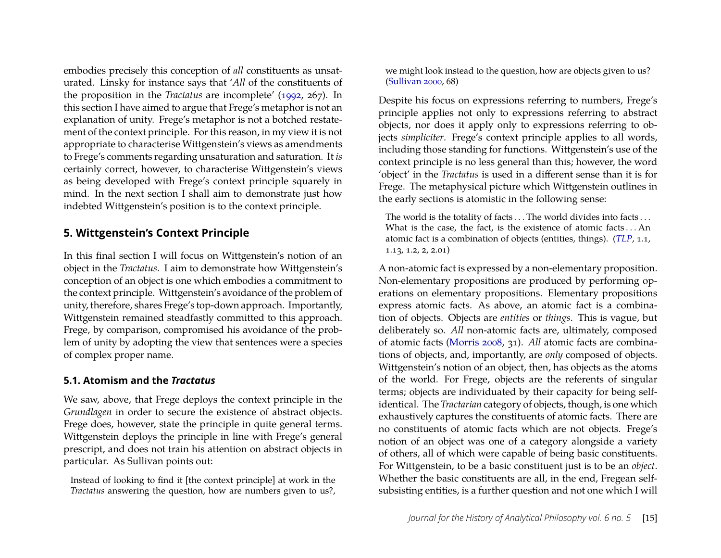embodies precisely this conception of *all* constituents as unsaturated. Linsky for instance says that '*All* of the constituents of the proposition in the *Tractatus* are incomplete' [\(1992,](#page-23-0) 267). In this section I have aimed to argue that Frege's metaphor is not an explanation of unity. Frege's metaphor is not a botched restatement of the context principle. For this reason, in my view it is not appropriate to characterise Wittgenstein's views as amendments to Frege's comments regarding unsaturation and saturation. It *is* certainly correct, however, to characterise Wittgenstein's views as being developed with Frege's context principle squarely in mind. In the next section I shall aim to demonstrate just how indebted Wittgenstein's position is to the context principle.

#### **5. Wittgenstein's Context Principle**

In this final section I will focus on Wittgenstein's notion of an object in the *Tractatus*. I aim to demonstrate how Wittgenstein's conception of an object is one which embodies a commitment to the context principle. Wittgenstein's avoidance of the problem of unity, therefore, shares Frege's top-down approach. Importantly, Wittgenstein remained steadfastly committed to this approach. Frege, by comparison, compromised his avoidance of the problem of unity by adopting the view that sentences were a species of complex proper name.

#### **5.1. Atomism and the** *Tractatus*

We saw, above, that Frege deploys the context principle in the *Grundlagen* in order to secure the existence of abstract objects. Frege does, however, state the principle in quite general terms. Wittgenstein deploys the principle in line with Frege's general prescript, and does not train his attention on abstract objects in particular. As Sullivan points out:

Instead of looking to find it [the context principle] at work in the *Tractatus* answering the question, how are numbers given to us?, we might look instead to the question, how are objects given to us? [\(Sullivan 2000,](#page-23-17) 68)

Despite his focus on expressions referring to numbers, Frege's principle applies not only to expressions referring to abstract objects, nor does it apply only to expressions referring to objects *simpliciter*. Frege's context principle applies to all words, including those standing for functions. Wittgenstein's use of the context principle is no less general than this; however, the word 'object' in the *Tractatus* is used in a different sense than it is for Frege. The metaphysical picture which Wittgenstein outlines in the early sections is atomistic in the following sense:

The world is the totality of facts ... The world divides into facts ... What is the case, the fact, is the existence of atomic facts...An atomic fact is a combination of objects (entities, things). (*[TLP](#page-23-2)*, 1.1, 1.13, 1.2, 2, 2.01)

A non-atomic fact is expressed by a non-elementary proposition. Non-elementary propositions are produced by performing operations on elementary propositions. Elementary propositions express atomic facts. As above, an atomic fact is a combination of objects. Objects are *entities* or *things*. This is vague, but deliberately so. *All* non-atomic facts are, ultimately, composed of atomic facts [\(Morris 2008,](#page-23-18) 31). *All* atomic facts are combinations of objects, and, importantly, are *only* composed of objects. Wittgenstein's notion of an object, then, has objects as the atoms of the world. For Frege, objects are the referents of singular terms; objects are individuated by their capacity for being selfidentical. The *Tractarian* category of objects, though, is one which exhaustively captures the constituents of atomic facts. There are no constituents of atomic facts which are not objects. Frege's notion of an object was one of a category alongside a variety of others, all of which were capable of being basic constituents. For Wittgenstein, to be a basic constituent just is to be an *object*. Whether the basic constituents are all, in the end, Fregean selfsubsisting entities, is a further question and not one which I will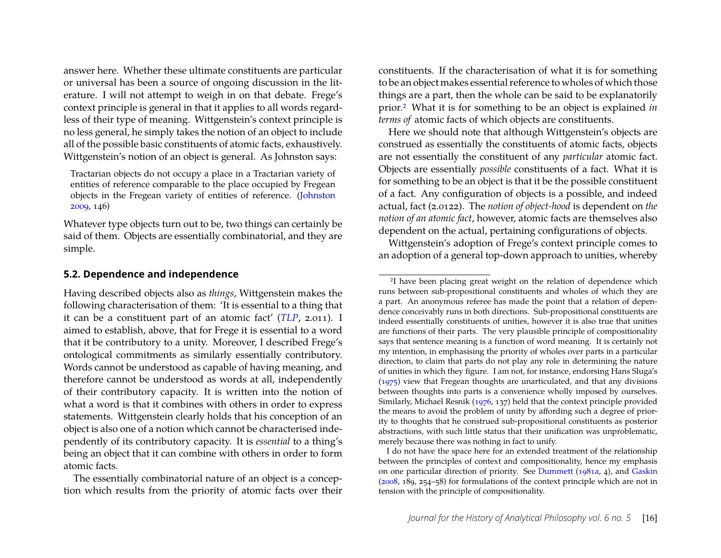answer here. Whether these ultimate constituents are particular or universal has been a source of ongoing discussion in the literature. I will not attempt to weigh in on that debate. Frege's context principle is general in that it applies to all words regardless of their type of meaning. Wittgenstein's context principle is no less general, he simply takes the notion of an object to include all of the possible basic constituents of atomic facts, exhaustively. Wittgenstein's notion of an object is general. As Johnston says:

Tractarian objects do not occupy a place in a Tractarian variety of entities of reference comparable to the place occupied by Fregean objects in the Fregean variety of entities of reference. [\(Johnston](#page-23-19) [2009,](#page-23-19) 146)

Whatever type objects turn out to be, two things can certainly be said of them. Objects are essentially combinatorial, and they are simple.

#### **5.2. Dependence and independence**

Having described objects also as *things*, Wittgenstein makes the following characterisation of them: 'It is essential to a thing that it can be a constituent part of an atomic fact' (*[TLP](#page-23-2)*, 2.011). I aimed to establish, above, that for Frege it is essential to a word that it be contributory to a unity. Moreover, I described Frege's ontological commitments as similarly essentially contributory. Words cannot be understood as capable of having meaning, and therefore cannot be understood as words at all, independently of their contributory capacity. It is written into the notion of what a word is that it combines with others in order to express statements. Wittgenstein clearly holds that his conception of an object is also one of a notion which cannot be characterised independently of its contributory capacity. It is *essential* to a thing's being an object that it can combine with others in order to form atomic facts.

The essentially combinatorial nature of an object is a conception which results from the priority of atomic facts over their constituents. If the characterisation of what it is for something to be an object makes essential reference to wholes of which those things are a part, then the whole can be said to be explanatorily prior.[2](#page-16-0) What it is for something to be an object is explained *in terms of* atomic facts of which objects are constituents.

Here we should note that although Wittgenstein's objects are construed as essentially the constituents of atomic facts, objects are not essentially the constituent of any *particular* atomic fact. Objects are essentially *possible* constituents of a fact. What it is for something to be an object is that it be the possible constituent of a fact. Any configuration of objects is a possible, and indeed actual, fact (2.0122). The *notion of object-hood* is dependent on *the notion of an atomic fact*, however, atomic facts are themselves also dependent on the actual, pertaining configurations of objects.

Wittgenstein's adoption of Frege's context principle comes to an adoption of a general top-down approach to unities, whereby

I do not have the space here for an extended treatment of the relationship between the principles of context and compositionality, hence my emphasis on one particular direction of priority. See [Dummett](#page-22-7) [\(1981a,](#page-22-7) 4), and [Gaskin](#page-22-9) [\(2008,](#page-22-9) 189, 254–58) for formulations of the context principle which are not in tension with the principle of compositionality.

<span id="page-16-0"></span><sup>2</sup>I have been placing great weight on the relation of dependence which runs between sub-propositional constituents and wholes of which they are a part. An anonymous referee has made the point that a relation of dependence conceivably runs in both directions. Sub-propositional constituents are indeed essentially constituents of unities, however it is also true that unities are functions of their parts. The very plausible principle of compositionality says that sentence meaning is a function of word meaning. It is certainly not my intention, in emphasising the priority of wholes over parts in a particular direction, to claim that parts do not play any role in determining the nature of unities in which they figure. I am not, for instance, endorsing Hans Sluga's [\(1975\)](#page-23-20) view that Fregean thoughts are unarticulated, and that any divisions between thoughts into parts is a convenience wholly imposed by ourselves. Similarly, Michael Resnik [\(1976,](#page-23-21) 137) held that the context principle provided the means to avoid the problem of unity by affording such a degree of priority to thoughts that he construed sub-propositional constituents as posterior abstractions, with such little status that their unification was unproblematic, merely because there was nothing in fact to unify.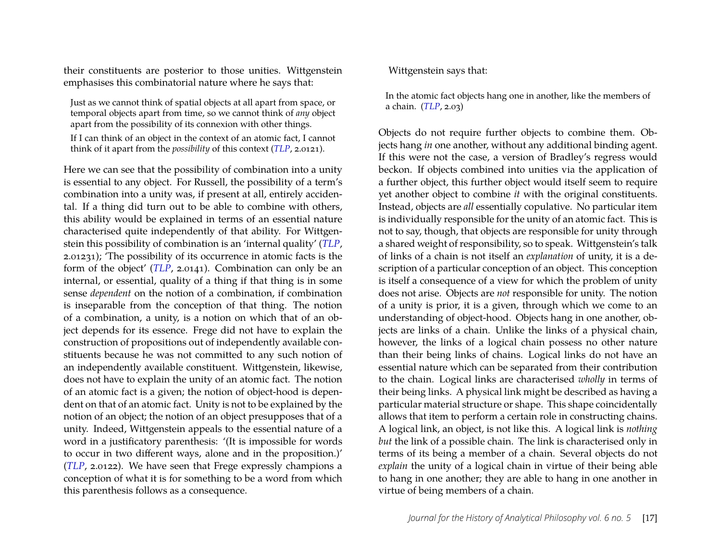their constituents are posterior to those unities. Wittgenstein emphasises this combinatorial nature where he says that:

Just as we cannot think of spatial objects at all apart from space, or temporal objects apart from time, so we cannot think of *any* object apart from the possibility of its connexion with other things. If I can think of an object in the context of an atomic fact, I cannot think of it apart from the *possibility* of this context (*[TLP](#page-23-2)*, 2.0121).

Here we can see that the possibility of combination into a unity is essential to any object. For Russell, the possibility of a term's combination into a unity was, if present at all, entirely accidental. If a thing did turn out to be able to combine with others, this ability would be explained in terms of an essential nature characterised quite independently of that ability. For Wittgenstein this possibility of combination is an 'internal quality' (*[TLP](#page-23-2)*, 2.01231); 'The possibility of its occurrence in atomic facts is the form of the object' (*[TLP](#page-23-2)*, 2.0141). Combination can only be an internal, or essential, quality of a thing if that thing is in some sense *dependent* on the notion of a combination, if combination is inseparable from the conception of that thing. The notion of a combination, a unity, is a notion on which that of an object depends for its essence. Frege did not have to explain the construction of propositions out of independently available constituents because he was not committed to any such notion of an independently available constituent. Wittgenstein, likewise, does not have to explain the unity of an atomic fact. The notion of an atomic fact is a given; the notion of object-hood is dependent on that of an atomic fact. Unity is not to be explained by the notion of an object; the notion of an object presupposes that of a unity. Indeed, Wittgenstein appeals to the essential nature of a word in a justificatory parenthesis: '(It is impossible for words to occur in two different ways, alone and in the proposition.)' (*[TLP](#page-23-2)*, 2.0122). We have seen that Frege expressly champions a conception of what it is for something to be a word from which this parenthesis follows as a consequence.

Wittgenstein says that:

In the atomic fact objects hang one in another, like the members of a chain. (*[TLP](#page-23-2)*, 2.03)

Objects do not require further objects to combine them. Objects hang *in* one another, without any additional binding agent. If this were not the case, a version of Bradley's regress would beckon. If objects combined into unities via the application of a further object, this further object would itself seem to require yet another object to combine *it* with the original constituents. Instead, objects are *all* essentially copulative. No particular item is individually responsible for the unity of an atomic fact. This is not to say, though, that objects are responsible for unity through a shared weight of responsibility, so to speak. Wittgenstein's talk of links of a chain is not itself an *explanation* of unity, it is a description of a particular conception of an object. This conception is itself a consequence of a view for which the problem of unity does not arise. Objects are *not* responsible for unity. The notion of a unity is prior, it is a given, through which we come to an understanding of object-hood. Objects hang in one another, objects are links of a chain. Unlike the links of a physical chain, however, the links of a logical chain possess no other nature than their being links of chains. Logical links do not have an essential nature which can be separated from their contribution to the chain. Logical links are characterised *wholly* in terms of their being links. A physical link might be described as having a particular material structure or shape. This shape coincidentally allows that item to perform a certain role in constructing chains. A logical link, an object, is not like this. A logical link is *nothing but* the link of a possible chain. The link is characterised only in terms of its being a member of a chain. Several objects do not *explain* the unity of a logical chain in virtue of their being able to hang in one another; they are able to hang in one another in virtue of being members of a chain.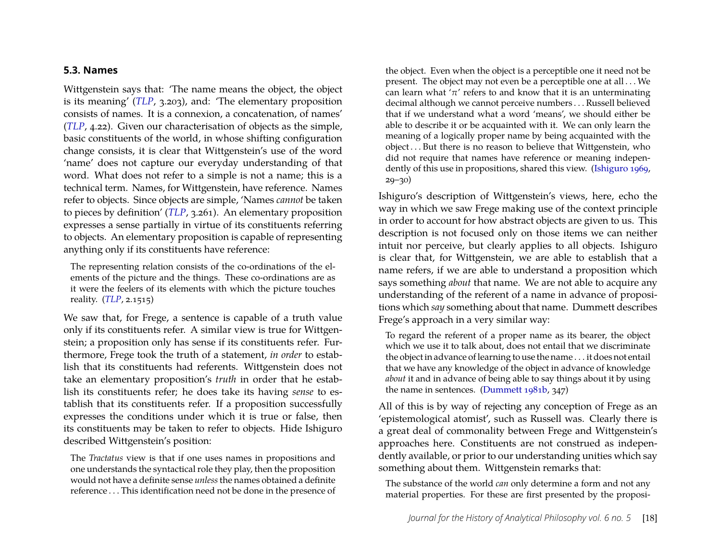#### **5.3. Names**

Wittgenstein says that: 'The name means the object, the object is its meaning' (*[TLP](#page-23-2)*, 3.203), and: 'The elementary proposition consists of names. It is a connexion, a concatenation, of names' (*[TLP](#page-23-2)*, 4.22). Given our characterisation of objects as the simple, basic constituents of the world, in whose shifting configuration change consists, it is clear that Wittgenstein's use of the word 'name' does not capture our everyday understanding of that word. What does not refer to a simple is not a name; this is a technical term. Names, for Wittgenstein, have reference. Names refer to objects. Since objects are simple, 'Names *cannot* be taken to pieces by definition' (*[TLP](#page-23-2)*, 3.261). An elementary proposition expresses a sense partially in virtue of its constituents referring to objects. An elementary proposition is capable of representing anything only if its constituents have reference:

The representing relation consists of the co-ordinations of the elements of the picture and the things. These co-ordinations are as it were the feelers of its elements with which the picture touches reality. (*[TLP](#page-23-2)*, 2.1515)

We saw that, for Frege, a sentence is capable of a truth value only if its constituents refer. A similar view is true for Wittgenstein; a proposition only has sense if its constituents refer. Furthermore, Frege took the truth of a statement, *in order* to establish that its constituents had referents. Wittgenstein does not take an elementary proposition's *truth* in order that he establish its constituents refer; he does take its having *sense* to establish that its constituents refer. If a proposition successfully expresses the conditions under which it is true or false, then its constituents may be taken to refer to objects. Hide Ishiguro described Wittgenstein's position:

The *Tractatus* view is that if one uses names in propositions and one understands the syntactical role they play, then the proposition would not have a definite sense *unless*the names obtained a definite reference . . . This identification need not be done in the presence of

the object. Even when the object is a perceptible one it need not be present. The object may not even be a perceptible one at all . . . We can learn what ' $\pi$ ' refers to and know that it is an unterminating decimal although we cannot perceive numbers . . . Russell believed that if we understand what a word 'means', we should either be able to describe it or be acquainted with it. We can only learn the meaning of a logically proper name by being acquainted with the object . . . But there is no reason to believe that Wittgenstein, who did not require that names have reference or meaning independently of this use in propositions, shared this view. [\(Ishiguro 1969,](#page-22-15)  $29 - 30$ 

Ishiguro's description of Wittgenstein's views, here, echo the way in which we saw Frege making use of the context principle in order to account for how abstract objects are given to us. This description is not focused only on those items we can neither intuit nor perceive, but clearly applies to all objects. Ishiguro is clear that, for Wittgenstein, we are able to establish that a name refers, if we are able to understand a proposition which says something *about* that name. We are not able to acquire any understanding of the referent of a name in advance of propositions which *say* something about that name. Dummett describes Frege's approach in a very similar way:

To regard the referent of a proper name as its bearer, the object which we use it to talk about, does not entail that we discriminate the object in advance of learning to use the name . . . it does not entail that we have any knowledge of the object in advance of knowledge *about* it and in advance of being able to say things about it by using the name in sentences. [\(Dummett 1981b,](#page-22-4) 347)

All of this is by way of rejecting any conception of Frege as an 'epistemological atomist', such as Russell was. Clearly there is a great deal of commonality between Frege and Wittgenstein's approaches here. Constituents are not construed as independently available, or prior to our understanding unities which say something about them. Wittgenstein remarks that:

The substance of the world *can* only determine a form and not any material properties. For these are first presented by the proposi-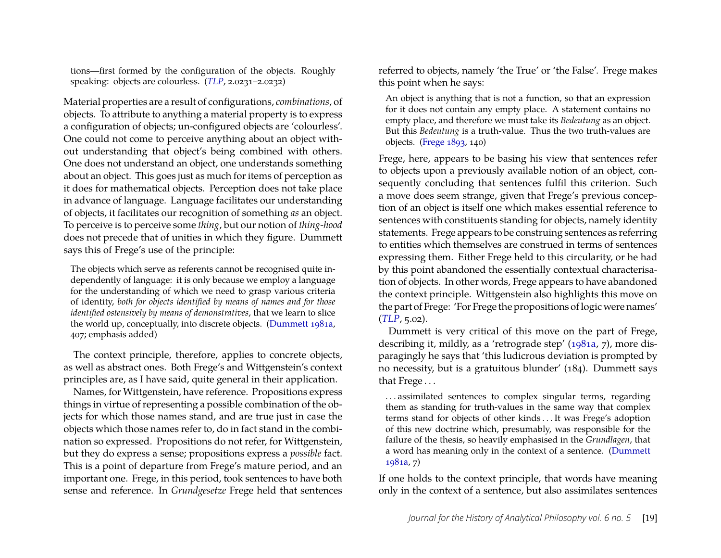tions—first formed by the configuration of the objects. Roughly speaking: objects are colourless. (*[TLP](#page-23-2)*, 2.0231–2.0232)

Material properties are a result of configurations, *combinations*, of objects. To attribute to anything a material property is to express a configuration of objects; un-configured objects are 'colourless'. One could not come to perceive anything about an object without understanding that object's being combined with others. One does not understand an object, one understands something about an object. This goes just as much for items of perception as it does for mathematical objects. Perception does not take place in advance of language. Language facilitates our understanding of objects, it facilitates our recognition of something *as* an object. To perceive is to perceive some *thing*, but our notion of *thing-hood* does not precede that of unities in which they figure. Dummett says this of Frege's use of the principle:

The objects which serve as referents cannot be recognised quite independently of language: it is only because we employ a language for the understanding of which we need to grasp various criteria of identity, *both for objects identified by means of names and for those identified ostensively by means of demonstratives*, that we learn to slice the world up, conceptually, into discrete objects. [\(Dummett 1981a,](#page-22-7) 407; emphasis added)

The context principle, therefore, applies to concrete objects, as well as abstract ones. Both Frege's and Wittgenstein's context principles are, as I have said, quite general in their application.

Names, for Wittgenstein, have reference. Propositions express things in virtue of representing a possible combination of the objects for which those names stand, and are true just in case the objects which those names refer to, do in fact stand in the combination so expressed. Propositions do not refer, for Wittgenstein, but they do express a sense; propositions express a *possible* fact. This is a point of departure from Frege's mature period, and an important one. Frege, in this period, took sentences to have both sense and reference. In *Grundgesetze* Frege held that sentences referred to objects, namely 'the True' or 'the False'. Frege makes this point when he says:

An object is anything that is not a function, so that an expression for it does not contain any empty place. A statement contains no empty place, and therefore we must take its *Bedeutung* as an object. But this *Bedeutung* is a truth-value. Thus the two truth-values are objects. [\(Frege 1893,](#page-22-11) 140)

Frege, here, appears to be basing his view that sentences refer to objects upon a previously available notion of an object, consequently concluding that sentences fulfil this criterion. Such a move does seem strange, given that Frege's previous conception of an object is itself one which makes essential reference to sentences with constituents standing for objects, namely identity statements. Frege appears to be construing sentences as referring to entities which themselves are construed in terms of sentences expressing them. Either Frege held to this circularity, or he had by this point abandoned the essentially contextual characterisation of objects. In other words, Frege appears to have abandoned the context principle. Wittgenstein also highlights this move on the part of Frege: 'For Frege the propositions of logic were names' (*[TLP](#page-23-2)*, 5.02).

Dummett is very critical of this move on the part of Frege, describing it, mildly, as a 'retrograde step' [\(1981a,](#page-22-7) 7), more disparagingly he says that 'this ludicrous deviation is prompted by no necessity, but is a gratuitous blunder' (184). Dummett says that Frege . . .

. . . assimilated sentences to complex singular terms, regarding them as standing for truth-values in the same way that complex terms stand for objects of other kinds . . . It was Frege's adoption of this new doctrine which, presumably, was responsible for the failure of the thesis, so heavily emphasised in the *Grundlagen*, that a word has meaning only in the context of a sentence. [\(Dummett](#page-22-7) [1981a,](#page-22-7) 7)

If one holds to the context principle, that words have meaning only in the context of a sentence, but also assimilates sentences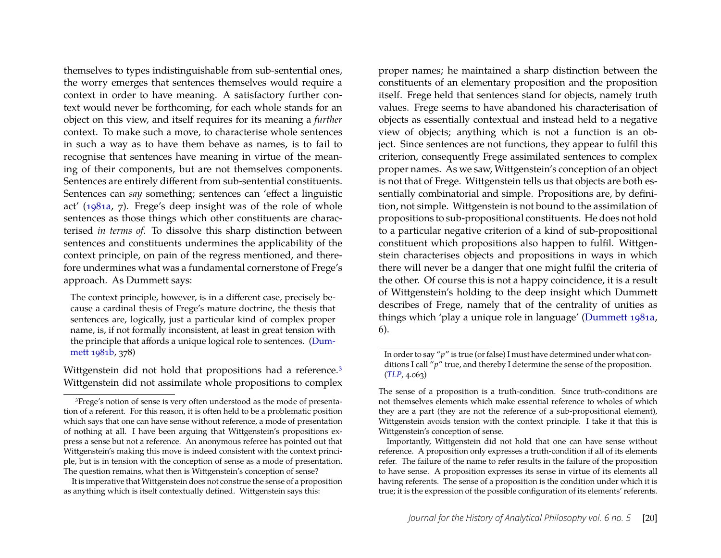themselves to types indistinguishable from sub-sentential ones, the worry emerges that sentences themselves would require a context in order to have meaning. A satisfactory further context would never be forthcoming, for each whole stands for an object on this view, and itself requires for its meaning a *further* context. To make such a move, to characterise whole sentences in such a way as to have them behave as names, is to fail to recognise that sentences have meaning in virtue of the meaning of their components, but are not themselves components. Sentences are entirely different from sub-sentential constituents. Sentences can *say* something; sentences can 'effect a linguistic act' [\(1981a,](#page-22-7) 7). Frege's deep insight was of the role of whole sentences as those things which other constituents are characterised *in terms of*. To dissolve this sharp distinction between sentences and constituents undermines the applicability of the context principle, on pain of the regress mentioned, and therefore undermines what was a fundamental cornerstone of Frege's approach. As Dummett says:

The context principle, however, is in a different case, precisely because a cardinal thesis of Frege's mature doctrine, the thesis that sentences are, logically, just a particular kind of complex proper name, is, if not formally inconsistent, at least in great tension with the principle that affords a unique logical role to sentences. [\(Dum](#page-22-4)[mett 1981b,](#page-22-4) 378)

Wittgenstein did not hold that propositions had a reference.<sup>[3](#page-20-0)</sup> Wittgenstein did not assimilate whole propositions to complex

It is imperative that Wittgenstein does not construe the sense of a proposition as anything which is itself contextually defined. Wittgenstein says this:

proper names; he maintained a sharp distinction between the constituents of an elementary proposition and the proposition itself. Frege held that sentences stand for objects, namely truth values. Frege seems to have abandoned his characterisation of objects as essentially contextual and instead held to a negative view of objects; anything which is not a function is an object. Since sentences are not functions, they appear to fulfil this criterion, consequently Frege assimilated sentences to complex proper names. As we saw, Wittgenstein's conception of an object is not that of Frege. Wittgenstein tells us that objects are both essentially combinatorial and simple. Propositions are, by definition, not simple. Wittgenstein is not bound to the assimilation of propositions to sub-propositional constituents. He does not hold to a particular negative criterion of a kind of sub-propositional constituent which propositions also happen to fulfil. Wittgenstein characterises objects and propositions in ways in which there will never be a danger that one might fulfil the criteria of the other. Of course this is not a happy coincidence, it is a result of Wittgenstein's holding to the deep insight which Dummett describes of Frege, namely that of the centrality of unities as things which 'play a unique role in language' [\(Dummett 1981a,](#page-22-7) 6).

<span id="page-20-0"></span><sup>3</sup>Frege's notion of sense is very often understood as the mode of presentation of a referent. For this reason, it is often held to be a problematic position which says that one can have sense without reference, a mode of presentation of nothing at all. I have been arguing that Wittgenstein's propositions express a sense but not a reference. An anonymous referee has pointed out that Wittgenstein's making this move is indeed consistent with the context principle, but is in tension with the conception of sense as a mode of presentation. The question remains, what then is Wittgenstein's conception of sense?

In order to say "*p*" is true (or false) I must have determined under what conditions I call "*p*" true, and thereby I determine the sense of the proposition. (*[TLP](#page-23-2)*, 4.063)

The sense of a proposition is a truth-condition. Since truth-conditions are not themselves elements which make essential reference to wholes of which they are a part (they are not the reference of a sub-propositional element), Wittgenstein avoids tension with the context principle. I take it that this is Wittgenstein's conception of sense.

Importantly, Wittgenstein did not hold that one can have sense without reference. A proposition only expresses a truth-condition if all of its elements refer. The failure of the name to refer results in the failure of the proposition to have sense. A proposition expresses its sense in virtue of its elements all having referents. The sense of a proposition is the condition under which it is true; it is the expression of the possible configuration of its elements' referents.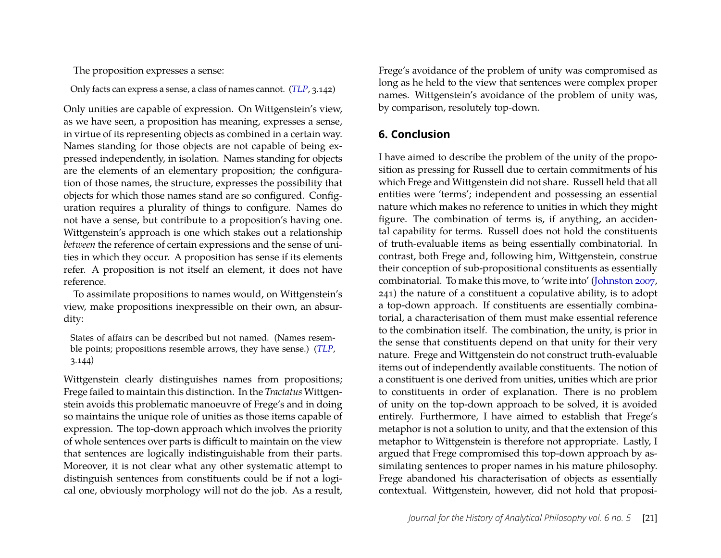The proposition expresses a sense:

Only facts can express a sense, a class of names cannot. (*[TLP](#page-23-2)*, 3.142)

Only unities are capable of expression. On Wittgenstein's view, as we have seen, a proposition has meaning, expresses a sense, in virtue of its representing objects as combined in a certain way. Names standing for those objects are not capable of being expressed independently, in isolation. Names standing for objects are the elements of an elementary proposition; the configuration of those names, the structure, expresses the possibility that objects for which those names stand are so configured. Configuration requires a plurality of things to configure. Names do not have a sense, but contribute to a proposition's having one. Wittgenstein's approach is one which stakes out a relationship *between* the reference of certain expressions and the sense of unities in which they occur. A proposition has sense if its elements refer. A proposition is not itself an element, it does not have reference.

To assimilate propositions to names would, on Wittgenstein's view, make propositions inexpressible on their own, an absurdity:

States of affairs can be described but not named. (Names resemble points; propositions resemble arrows, they have sense.) (*[TLP](#page-23-2)*, 3.144)

Wittgenstein clearly distinguishes names from propositions; Frege failed to maintain this distinction. In the *Tractatus* Wittgenstein avoids this problematic manoeuvre of Frege's and in doing so maintains the unique role of unities as those items capable of expression. The top-down approach which involves the priority of whole sentences over parts is difficult to maintain on the view that sentences are logically indistinguishable from their parts. Moreover, it is not clear what any other systematic attempt to distinguish sentences from constituents could be if not a logical one, obviously morphology will not do the job. As a result,

Frege's avoidance of the problem of unity was compromised as long as he held to the view that sentences were complex proper names. Wittgenstein's avoidance of the problem of unity was, by comparison, resolutely top-down.

#### **6. Conclusion**

I have aimed to describe the problem of the unity of the proposition as pressing for Russell due to certain commitments of his which Frege and Wittgenstein did not share. Russell held that all entities were 'terms'; independent and possessing an essential nature which makes no reference to unities in which they might figure. The combination of terms is, if anything, an accidental capability for terms. Russell does not hold the constituents of truth-evaluable items as being essentially combinatorial. In contrast, both Frege and, following him, Wittgenstein, construe their conception of sub-propositional constituents as essentially combinatorial. To make this move, to 'write into' [\(Johnston 2007,](#page-23-6) 241) the nature of a constituent a copulative ability, is to adopt a top-down approach. If constituents are essentially combinatorial, a characterisation of them must make essential reference to the combination itself. The combination, the unity, is prior in the sense that constituents depend on that unity for their very nature. Frege and Wittgenstein do not construct truth-evaluable items out of independently available constituents. The notion of a constituent is one derived from unities, unities which are prior to constituents in order of explanation. There is no problem of unity on the top-down approach to be solved, it is avoided entirely. Furthermore, I have aimed to establish that Frege's metaphor is not a solution to unity, and that the extension of this metaphor to Wittgenstein is therefore not appropriate. Lastly, I argued that Frege compromised this top-down approach by assimilating sentences to proper names in his mature philosophy. Frege abandoned his characterisation of objects as essentially contextual. Wittgenstein, however, did not hold that proposi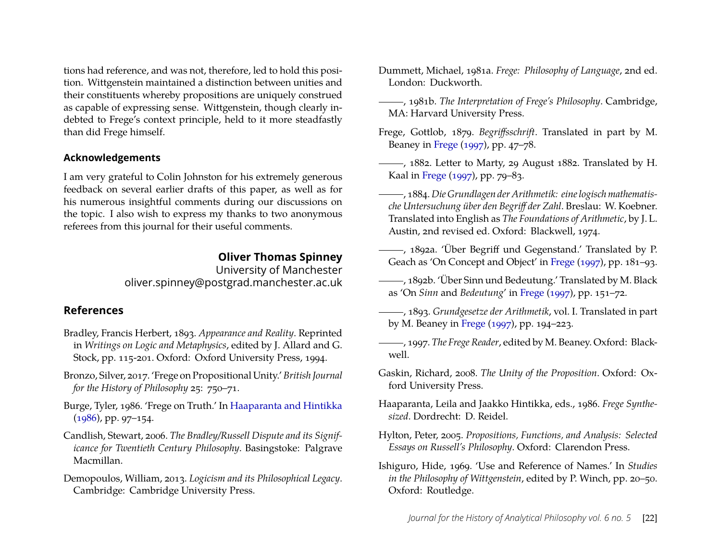tions had reference, and was not, therefore, led to hold this position. Wittgenstein maintained a distinction between unities and their constituents whereby propositions are uniquely construed as capable of expressing sense. Wittgenstein, though clearly indebted to Frege's context principle, held to it more steadfastly than did Frege himself.

#### **Acknowledgements**

I am very grateful to Colin Johnston for his extremely generous feedback on several earlier drafts of this paper, as well as for his numerous insightful comments during our discussions on the topic. I also wish to express my thanks to two anonymous referees from this journal for their useful comments.

#### **Oliver Thomas Spinney**

University of Manchester oliver.spinney@postgrad.manchester.ac.uk

#### **References**

- <span id="page-22-0"></span>Bradley, Francis Herbert, 1893. *Appearance and Reality*. Reprinted in *Writings on Logic and Metaphysics*, edited by J. Allard and G. Stock, pp. 115-201. Oxford: Oxford University Press, 1994.
- <span id="page-22-14"></span>Bronzo, Silver, 2017. 'Frege on Propositional Unity.' *British Journal for the History of Philosophy* 25: 750–71.
- <span id="page-22-2"></span>Burge, Tyler, 1986. 'Frege on Truth.' In [Haaparanta and Hintikka](#page-22-16) [\(1986\)](#page-22-16), pp. 97–154.
- <span id="page-22-1"></span>Candlish, Stewart, 2006. *The Bradley/Russell Dispute and its Significance for Twentieth Century Philosophy*. Basingstoke: Palgrave Macmillan.
- <span id="page-22-8"></span>Demopoulos, William, 2013. *Logicism and its Philosophical Legacy*. Cambridge: Cambridge University Press.
- <span id="page-22-7"></span>Dummett, Michael, 1981a. *Frege: Philosophy of Language*, 2nd ed. London: Duckworth.
- <span id="page-22-4"></span>, 1981b. *The Interpretation of Frege's Philosophy*. Cambridge, MA: Harvard University Press.
- <span id="page-22-13"></span>Frege, Gottlob, 1879. *Begriffsschrift*. Translated in part by M. Beaney in [Frege](#page-22-17) [\(1997\)](#page-22-17), pp. 47–78.
- <span id="page-22-10"></span> $\frac{1}{1882}$ , Letter to Marty, 29 August 1882. Translated by H. Kaal in [Frege](#page-22-17) [\(1997\)](#page-22-17), pp. 79–83.
- <span id="page-22-5"></span>, 1884. *Die Grundlagen der Arithmetik: eine logisch mathematische Untersuchung über den Begriff der Zahl*. Breslau: W. Koebner. Translated into English as *The Foundations of Arithmetic*, by J. L. Austin, 2nd revised ed. Oxford: Blackwell, 1974.
- <span id="page-22-12"></span>, 1892a. 'Über Begriff und Gegenstand.' Translated by P. Geach as 'On Concept and Object' in [Frege](#page-22-17) [\(1997\)](#page-22-17), pp. 181–93.
- <span id="page-22-6"></span>, 1892b. 'Über Sinn und Bedeutung.' Translated by M. Black as 'On *Sinn* and *Bedeutung*' in [Frege](#page-22-17) [\(1997\)](#page-22-17), pp. 151–72.
- <span id="page-22-11"></span>, 1893. *Grundgesetze der Arithmetik*, vol. I. Translated in part by M. Beaney in [Frege](#page-22-17) [\(1997\)](#page-22-17), pp. 194–223.
- <span id="page-22-17"></span>, 1997. *The Frege Reader*, edited by M. Beaney. Oxford: Blackwell.
- <span id="page-22-9"></span>Gaskin, Richard, 2008. *The Unity of the Proposition*. Oxford: Oxford University Press.
- <span id="page-22-16"></span>Haaparanta, Leila and Jaakko Hintikka, eds., 1986. *Frege Synthesized*. Dordrecht: D. Reidel.
- <span id="page-22-3"></span>Hylton, Peter, 2005. *Propositions, Functions, and Analysis: Selected Essays on Russell's Philosophy*. Oxford: Clarendon Press.
- <span id="page-22-15"></span>Ishiguro, Hide, 1969. 'Use and Reference of Names.' In *Studies in the Philosophy of Wittgenstein*, edited by P. Winch, pp. 20–50. Oxford: Routledge.